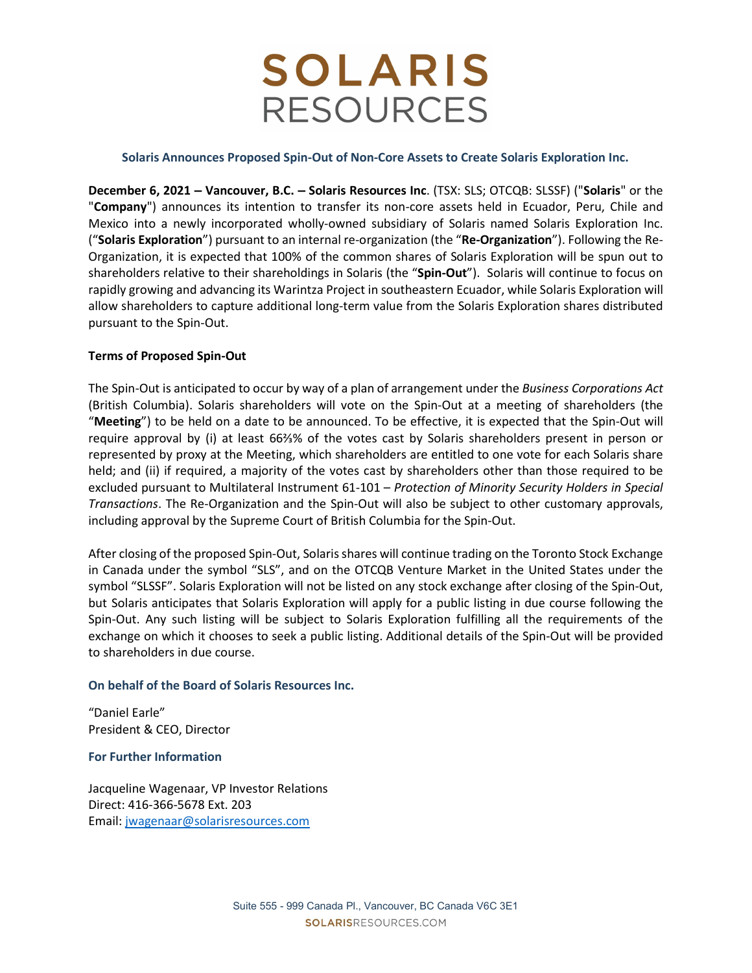# **SOLARIS RESOURCES**

### Solaris Announces Proposed Spin-Out of Non-Core Assets to Create Solaris Exploration Inc.

December 6, 2021 – Vancouver, B.C. – Solaris Resources Inc. (TSX: SLS; OTCQB: SLSSF) ("Solaris" or the "Company") announces its intention to transfer its non-core assets held in Ecuador, Peru, Chile and Mexico into a newly incorporated wholly-owned subsidiary of Solaris named Solaris Exploration Inc. ("Solaris Exploration") pursuant to an internal re-organization (the "Re-Organization"). Following the Re-Organization, it is expected that 100% of the common shares of Solaris Exploration will be spun out to shareholders relative to their shareholdings in Solaris (the "Spin-Out"). Solaris will continue to focus on rapidly growing and advancing its Warintza Project in southeastern Ecuador, while Solaris Exploration will allow shareholders to capture additional long-term value from the Solaris Exploration shares distributed pursuant to the Spin-Out.

### Terms of Proposed Spin-Out

The Spin-Out is anticipated to occur by way of a plan of arrangement under the Business Corporations Act (British Columbia). Solaris shareholders will vote on the Spin-Out at a meeting of shareholders (the "Meeting") to be held on a date to be announced. To be effective, it is expected that the Spin-Out will require approval by (i) at least 66⅔% of the votes cast by Solaris shareholders present in person or represented by proxy at the Meeting, which shareholders are entitled to one vote for each Solaris share held; and (ii) if required, a majority of the votes cast by shareholders other than those required to be excluded pursuant to Multilateral Instrument 61-101 – Protection of Minority Security Holders in Special Transactions. The Re-Organization and the Spin-Out will also be subject to other customary approvals, including approval by the Supreme Court of British Columbia for the Spin-Out.

After closing of the proposed Spin-Out, Solaris shares will continue trading on the Toronto Stock Exchange in Canada under the symbol "SLS", and on the OTCQB Venture Market in the United States under the symbol "SLSSF". Solaris Exploration will not be listed on any stock exchange after closing of the Spin-Out, but Solaris anticipates that Solaris Exploration will apply for a public listing in due course following the Spin-Out. Any such listing will be subject to Solaris Exploration fulfilling all the requirements of the exchange on which it chooses to seek a public listing. Additional details of the Spin-Out will be provided to shareholders in due course.

### On behalf of the Board of Solaris Resources Inc.

"Daniel Earle" President & CEO, Director

### For Further Information

Jacqueline Wagenaar, VP Investor Relations Direct: 416-366-5678 Ext. 203 Email: jwagenaar@solarisresources.com